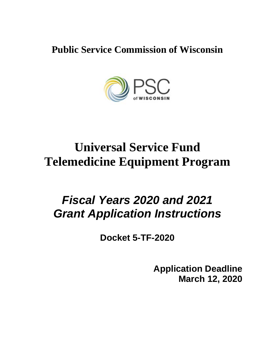**Public Service Commission of Wisconsin**



# **Universal Service Fund Telemedicine Equipment Program**

## *Fiscal Years 2020 and 2021 Grant Application Instructions*

**Docket 5-TF-2020**

**Application Deadline March 12, 2020**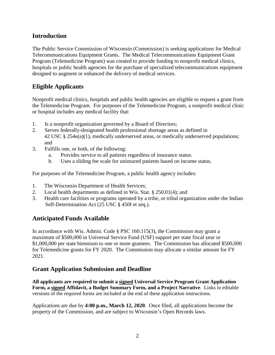## **Introduction**

The Public Service Commission of Wisconsin (Commission) is seeking applications for Medical Telecommunications Equipment Grants. The Medical Telecommunications Equipment Grant Program (Telemedicine Program) was created to provide funding to nonprofit medical clinics, hospitals or public health agencies for the purchase of specialized telecommunications equipment designed to augment or enhanced the delivery of medical services.

## **Eligible Applicants**

Nonprofit medical clinics, hospitals and public health agencies are eligible to request a grant from the Telemedicine Program. For purposes of the Telemedicine Program, a nonprofit medical clinic or hospital includes any medical facility that:

- 1. Is a nonprofit organization governed by a Board of Directors;
- 2. Serves federally-designated health professional shortage areas as defined in 42 USC § 254e(a)(1), medically underserved areas, or medically underserved populations; and
- 3. Fulfills one, or both, of the following:
	- a. Provides service to all patients regardless of insurance status.
	- b. Uses a sliding fee scale for uninsured patients based on income status.

For purposes of the Telemedicine Program, a public health agency includes:

- 1. The Wisconsin Department of Health Services;
- 2. Local health departments as defined in Wis. Stat. § 250.01(4); and
- 3. Health care facilities or programs operated by a tribe, or tribal organization under the Indian Self-Determination Act (25 USC § 450f et seq.).

## **Anticipated Funds Available**

In accordance with Wis. Admin. Code § PSC 160.115(3), the Commission may grant a maximum of \$500,000 in Universal Service Fund (USF) support per state fiscal year or \$1,000,000 per state biennium to one or more grantees. The Commission has allocated \$500,000 for Telemedicine grants for FY 2020. The Commission may allocate a similar amount for FY 2021.

## **Grant Application Submission and Deadline**

**All applicants are required to submit a signed Universal Service Program Grant Application Form, a signed Affidavit, a Budget Summary Form, and a Project Narrative**. Links to editable versions of the required forms are included at the end of these application instructions.

Applications are due by **4:00 p.m., March 12, 2020**. Once filed, all applications become the property of the Commission, and are subject to Wisconsin's Open Records laws.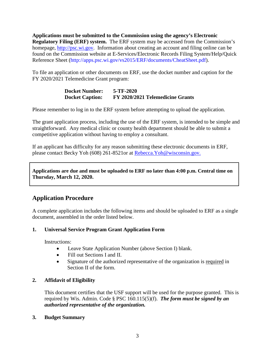**Applications must be submitted to the Commission using the agency's Electronic Regulatory Filing (ERF) system.** The ERF system may be accessed from the Commission's homepage, [http://psc.wi.gov.](http://psc.wi.gov/) Information about creating an account and filing online can be found on the Commission website at E-Services/Electronic Records Filing System/Help/Quick Reference Sheet (http://apps.psc.wi.gov/vs2015/ERF/documents/CheatSheet.pdf).

To file an application or other documents on ERF, use the docket number and caption for the FY 2020/2021 Telemedicine Grant program:

> **Docket Number: 5-TF-2020 Docket Caption: FY 2020/2021 Telemedicine Grants**

Please remember to log in to the ERF system before attempting to upload the application.

The grant application process, including the use of the ERF system, is intended to be simple and straightforward. Any medical clinic or county health department should be able to submit a competitive application without having to employ a consultant.

If an applicant has difficulty for any reason submitting these electronic documents in ERF, please contact Becky Yoh (608) 261-8521or at [Rebecca.Yoh@wisconsin.gov.](mailto:Rebecca.Yoh@psc.state.wi.us)

**Applications are due and must be uploaded to ERF no later than 4:00 p.m. Central time on Thursday, March 12, 2020.**

## **Application Procedure**

A complete application includes the following items and should be uploaded to ERF as a single document, assembled in the order listed below.

#### **1. Universal Service Program Grant Application Form**

Instructions:

- Leave State Application Number (above Section I) blank.
- Fill out Sections I and II.
- Signature of the authorized representative of the organization is required in Section II of the form.

#### **2. Affidavit of Eligibility**

This document certifies that the USF support will be used for the purpose granted. This is required by Wis. Admin. Code § PSC 160.115(5)(f). *The form must be signed by an authorized representative of the organization.*

#### **3. Budget Summary**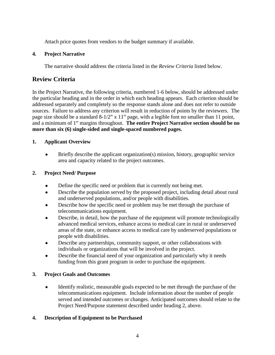Attach price quotes from vendors to the budget summary if available.

#### **4. Project Narrative**

The narrative should address the criteria listed in the *Review Criteria* listed below.

## **Review Criteria**

In the Project Narrative, the following criteria, numbered 1-6 below, should be addressed under the particular heading and in the order in which each heading appears. Each criterion should be addressed separately and completely so the response stands alone and does not refer to outside sources. Failure to address any criterion will result in reduction of points by the reviewers. The page size should be a standard 8-1/2" x 11" page, with a legible font no smaller than 11 point, and a minimum of 1" margins throughout. **The entire Project Narrative section should be no more than six (6) single-sided and single-spaced numbered pages.**

#### **1. Applicant Overview**

• Briefly describe the applicant organization(s) mission, history, geographic service area and capacity related to the project outcomes.

#### **2. Project Need/ Purpose**

- Define the specific need or problem that is currently not being met.
- Describe the population served by the proposed project, including detail about rural and underserved populations, and/or people with disabilities.
- Describe how the specific need or problem may be met through the purchase of telecommunications equipment.
- Describe, in detail, how the purchase of the equipment will promote technologically advanced medical services, enhance access to medical care in rural or underserved areas of the state, or enhance access to medical care by underserved populations or people with disabilities.
- Describe any partnerships, community support, or other collaborations with individuals or organizations that will be involved in the project.
- Describe the financial need of your organization and particularly why it needs funding from this grant program in order to purchase the equipment.

#### **3. Project Goals and Outcomes**

• Identify realistic, measurable goals expected to be met through the purchase of the telecommunications equipment. Include information about the number of people served and intended outcomes or changes. Anticipated outcomes should relate to the Project Need/Purpose statement described under heading 2, above.

#### **4. Description of Equipment to be Purchased**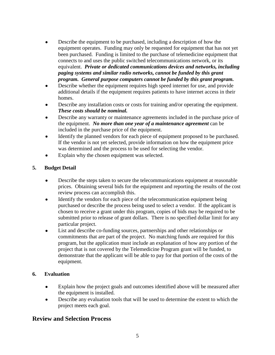- Describe the equipment to be purchased, including a description of how the equipment operates. Funding may only be requested for equipment that has not yet been purchased. Funding is limited to the purchase of telemedicine equipment that connects to and uses the public switched telecommunications network, or its equivalent. *Private or dedicated communications devices and networks, including paging systems and similar radio networks, cannot be funded by this grant program. General purpose computers cannot be funded by this grant program.*
- Describe whether the equipment requires high speed internet for use, and provide additional details if the equipment requires patients to have internet access in their homes.
- Describe any installation costs or costs for training and/or operating the equipment. *These costs should be nominal.*
- Describe any warranty or maintenance agreements included in the purchase price of the equipment. *No more than one year of a maintenance agreement* can be included in the purchase price of the equipment.
- Identify the planned vendors for each piece of equipment proposed to be purchased. If the vendor is not yet selected, provide information on how the equipment price was determined and the process to be used for selecting the vendor.
- Explain why the chosen equipment was selected.

#### **5. Budget Detail**

- Describe the steps taken to secure the telecommunications equipment at reasonable prices. Obtaining several bids for the equipment and reporting the results of the cost review process can accomplish this.
- Identify the vendors for each piece of the telecommunication equipment being purchased or describe the process being used to select a vendor. If the applicant is chosen to receive a grant under this program, copies of bids may be required to be submitted prior to release of grant dollars. There is no specified dollar limit for any particular project.
- List and describe co-funding sources, partnerships and other relationships or commitments that are part of the project. No matching funds are required for this program, but the application must include an explanation of how any portion of the project that is not covered by the Telemedicine Program grant will be funded, to demonstrate that the applicant will be able to pay for that portion of the costs of the equipment.

#### **6. Evaluation**

- Explain how the project goals and outcomes identified above will be measured after the equipment is installed.
- Describe any evaluation tools that will be used to determine the extent to which the project meets each goal.

## **Review and Selection Process**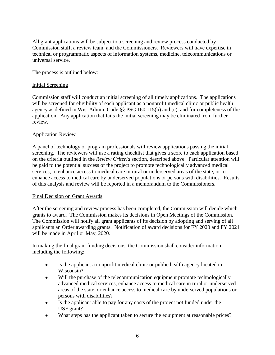All grant applications will be subject to a screening and review process conducted by Commission staff, a review team, and the Commissioners. Reviewers will have expertise in technical or programmatic aspects of information systems, medicine, telecommunications or universal service.

The process is outlined below:

#### Initial Screening

Commission staff will conduct an initial screening of all timely applications. The applications will be screened for eligibility of each applicant as a nonprofit medical clinic or public health agency as defined in Wis. Admin. Code §§ PSC 160.115(b) and (c), and for completeness of the application. Any application that fails the initial screening may be eliminated from further review.

#### Application Review

A panel of technology or program professionals will review applications passing the initial screening. The reviewers will use a rating checklist that gives a score to each application based on the criteria outlined in the *Review Criteria* section, described above. Particular attention will be paid to the potential success of the project to promote technologically advanced medical services, to enhance access to medical care in rural or underserved areas of the state, or to enhance access to medical care by underserved populations or persons with disabilities. Results of this analysis and review will be reported in a memorandum to the Commissioners.

#### Final Decision on Grant Awards

After the screening and review process has been completed, the Commission will decide which grants to award. The Commission makes its decisions in Open Meetings of the Commission. The Commission will notify all grant applicants of its decision by adopting and serving of all applicants an Order awarding grants. Notification of award decisions for FY 2020 and FY 2021 will be made in April or May, 2020.

In making the final grant funding decisions, the Commission shall consider information including the following:

- Is the applicant a nonprofit medical clinic or public health agency located in Wisconsin?
- Will the purchase of the telecommunication equipment promote technologically advanced medical services, enhance access to medical care in rural or underserved areas of the state, or enhance access to medical care by underserved populations or persons with disabilities?
- Is the applicant able to pay for any costs of the project not funded under the USF grant?
- What steps has the applicant taken to secure the equipment at reasonable prices?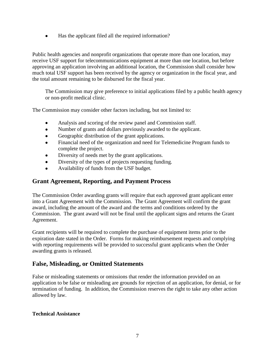• Has the applicant filed all the required information?

Public health agencies and nonprofit organizations that operate more than one location, may receive USF support for telecommunications equipment at more than one location, but before approving an application involving an additional location, the Commission shall consider how much total USF support has been received by the agency or organization in the fiscal year, and the total amount remaining to be disbursed for the fiscal year.

The Commission may give preference to initial applications filed by a public health agency or non-profit medical clinic.

The Commission may consider other factors including, but not limited to:

- Analysis and scoring of the review panel and Commission staff.
- Number of grants and dollars previously awarded to the applicant.
- Geographic distribution of the grant applications.
- Financial need of the organization and need for Telemedicine Program funds to complete the project.
- Diversity of needs met by the grant applications.
- Diversity of the types of projects requesting funding.
- Availability of funds from the USF budget.

## **Grant Agreement, Reporting, and Payment Process**

The Commission Order awarding grants will require that each approved grant applicant enter into a Grant Agreement with the Commission. The Grant Agreement will confirm the grant award, including the amount of the award and the terms and conditions ordered by the Commission. The grant award will not be final until the applicant signs and returns the Grant Agreement.

Grant recipients will be required to complete the purchase of equipment items prior to the expiration date stated in the Order. Forms for making reimbursement requests and complying with reporting requirements will be provided to successful grant applicants when the Order awarding grants is released.

## **False, Misleading, or Omitted Statements**

False or misleading statements or omissions that render the information provided on an application to be false or misleading are grounds for rejection of an application, for denial, or for termination of funding. In addition, the Commission reserves the right to take any other action allowed by law.

#### **Technical Assistance**